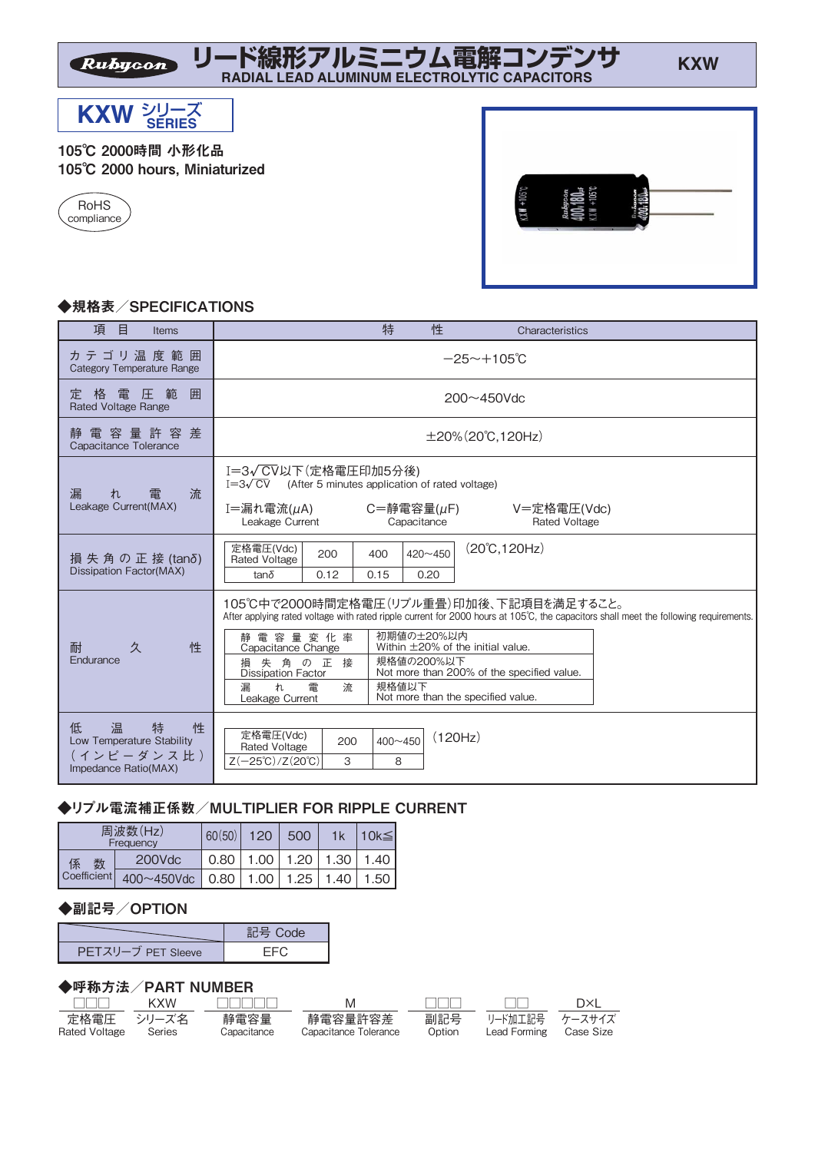**リード線形アルミニウム電解コンデンサ RADIAL LEAD ALUMINUM ELECTROLYTIC CAPACITORS**



Rubycon

#### 105℃ 2000時間 小形化品 105℃ 2000 hours, Miniaturized





## ◆規格表/SPECIFICATIONS

| 項<br>目<br><b>Items</b>                                                                 | 特<br>性<br>Characteristics                                                                                                                                                                                                                                                                                                                                                                                                                                                |  |  |  |  |
|----------------------------------------------------------------------------------------|--------------------------------------------------------------------------------------------------------------------------------------------------------------------------------------------------------------------------------------------------------------------------------------------------------------------------------------------------------------------------------------------------------------------------------------------------------------------------|--|--|--|--|
| カ テ ゴ リ 温 度 範 囲<br>Category Temperature Range                                          | $-25 \sim +105$ °C                                                                                                                                                                                                                                                                                                                                                                                                                                                       |  |  |  |  |
| 格<br>圧<br>範<br>囲<br>雷<br>定<br><b>Rated Voltage Range</b>                               | $200 - 450$ Vdc                                                                                                                                                                                                                                                                                                                                                                                                                                                          |  |  |  |  |
| 電 容 量 許 容 差<br>靜<br>Capacitance Tolerance                                              | $\pm 20\%$ (20°C, 120Hz)                                                                                                                                                                                                                                                                                                                                                                                                                                                 |  |  |  |  |
| 流<br>漏<br>雷<br>tr.<br>Leakage Current(MAX)                                             | I=3√ CV以下(定格電圧印加5分後)<br>$I=3\sqrt{CV}$ (After 5 minutes application of rated voltage)<br>I=漏れ電流(µA)<br>$C = \frac{25}{3}$ 電容量( $\mu$ F)<br>V=定格電圧(Vdc)<br>Leakage Current<br>Capacitance<br><b>Rated Voltage</b>                                                                                                                                                                                                                                                         |  |  |  |  |
| 損 失 角 の 正 接 (tanδ)<br><b>Dissipation Factor(MAX)</b>                                   | $(20^{\circ}C, 120Hz)$<br>定格電圧(Vdc)<br>$420 - 450$<br>200<br>400<br><b>Rated Voltage</b><br>$tan\delta$<br>0.12<br>0.15<br>0.20                                                                                                                                                                                                                                                                                                                                          |  |  |  |  |
| 性<br>久<br>耐<br>Endurance                                                               | 105℃中で2000時間定格電圧(リプル重畳)印加後、下記項目を満足すること。<br>After applying rated voltage with rated ripple current for 2000 hours at 105°C, the capacitors shall meet the following requirements.<br>初期値の±20%以内<br>静電容量変化率<br>Within $\pm$ 20% of the initial value.<br>Capacitance Change<br>規格値の200%以下<br>失角の正接<br>損<br>Not more than 200% of the specified value.<br><b>Dissipation Factor</b><br>規格値以下<br>漏<br>tr.<br>雷<br>流<br>Not more than the specified value.<br>Leakage Current |  |  |  |  |
| 低<br>温<br>特<br>性<br>Low Temperature Stability<br>( インピーダンス 比 )<br>Impedance Ratio(MAX) | 定格電圧(Vdc)<br>(120Hz)<br>$400 - 450$<br>200<br><b>Rated Voltage</b><br>$Z(-25^{\circ}C)/Z(20^{\circ}C)$<br>3<br>8                                                                                                                                                                                                                                                                                                                                                         |  |  |  |  |

### ◆リプル電流補正係数/MULTIPLIER FOR RIPPLE CURRENT

| 周波数(Hz)<br>Frequency  |                                               | 60(50) | 120 | 500 | 1k | $10k \leq$                         |
|-----------------------|-----------------------------------------------|--------|-----|-----|----|------------------------------------|
| 数<br>係<br>Coefficient | 200Vdc                                        |        |     |     |    | $0.80$   1.00   1.20   1.30   1.40 |
|                       | 400~450Vdc   0.80   1.00   1.25   1.40   1.50 |        |     |     |    |                                    |

### ◆副記号/OPTION

|                    | $=$ $\exists$ $\exists$ Code |
|--------------------|------------------------------|
| PETスリーブ PET Sleeve |                              |

#### ◆呼称方法/PART NUMBER

| חרור.                       | KXW    | .                   | M                                | $\mathbf{1}$  | . .                            | DXI       |
|-----------------------------|--------|---------------------|----------------------------------|---------------|--------------------------------|-----------|
| 定格雷圧 シリーズ名<br>Rated Voltage | Series | 静雷容量<br>Canacitance | 静雷容量許容差<br>Capacitance Tolerance | 副記号<br>Option | リード加工記号 ケースサイズ<br>Lead Forming | Case Size |